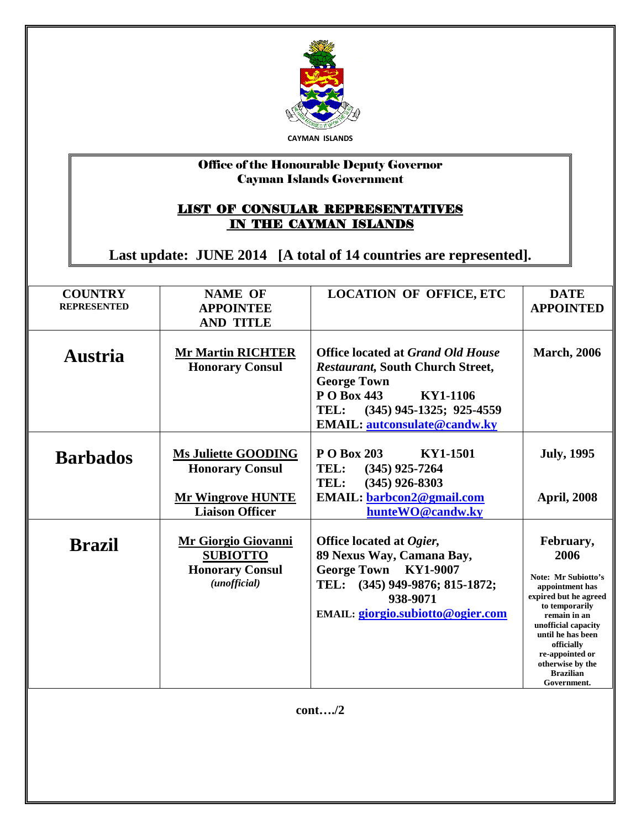

## Office of the Honourable Deputy Governor Cayman Islands Government

## LIST OF CONSULAR REPRESENTATIVES IN THE CAYMAN ISLANDS

**Last update: JUNE 2014 [A total of 14 countries are represented].**

| <b>COUNTRY</b><br><b>REPRESENTED</b> | <b>NAME OF</b><br><b>APPOINTEE</b><br><b>AND TITLE</b>                                  | <b>LOCATION OF OFFICE, ETC</b>                                                                                                                                                                               | <b>DATE</b><br><b>APPOINTED</b>                                                                                                                                                                                                                            |
|--------------------------------------|-----------------------------------------------------------------------------------------|--------------------------------------------------------------------------------------------------------------------------------------------------------------------------------------------------------------|------------------------------------------------------------------------------------------------------------------------------------------------------------------------------------------------------------------------------------------------------------|
|                                      |                                                                                         |                                                                                                                                                                                                              |                                                                                                                                                                                                                                                            |
| <b>Austria</b>                       | <b>Mr Martin RICHTER</b><br><b>Honorary Consul</b>                                      | <b>Office located at Grand Old House</b><br><b>Restaurant, South Church Street,</b><br><b>George Town</b><br>P O Box 443<br>KY1-1106<br>TEL: (345) 945-1325; 925-4559<br><b>EMAIL:</b> autconsulate@candw.ky | <b>March, 2006</b>                                                                                                                                                                                                                                         |
| <b>Barbados</b>                      | <b>Ms Juliette GOODING</b><br><b>Honorary Consul</b><br><b>Mr Wingrove HUNTE</b>        | P O Box 203<br>KY1-1501<br>TEL:<br>$(345)$ 925-7264<br>TEL:<br>$(345)$ 926-8303<br><b>EMAIL:</b> barbcon2@gmail.com                                                                                          | <b>July, 1995</b><br><b>April, 2008</b>                                                                                                                                                                                                                    |
|                                      | <b>Liaison Officer</b>                                                                  | hunteWO@candw.ky                                                                                                                                                                                             |                                                                                                                                                                                                                                                            |
| <b>Brazil</b>                        | <b>Mr Giorgio Giovanni</b><br><b>SUBIOTTO</b><br><b>Honorary Consul</b><br>(unofficial) | Office located at Ogier,<br>89 Nexus Way, Camana Bay,<br>George Town KY1-9007<br>TEL: (345) 949-9876; 815-1872;<br>938-9071<br>EMAIL: giorgio.subiotto@ogier.com                                             | February,<br>2006<br>Note: Mr Subiotto's<br>appointment has<br>expired but he agreed<br>to temporarily<br>remain in an<br>unofficial capacity<br>until he has been<br>officially<br>re-appointed or<br>otherwise by the<br><b>Brazilian</b><br>Government. |

**cont…./2**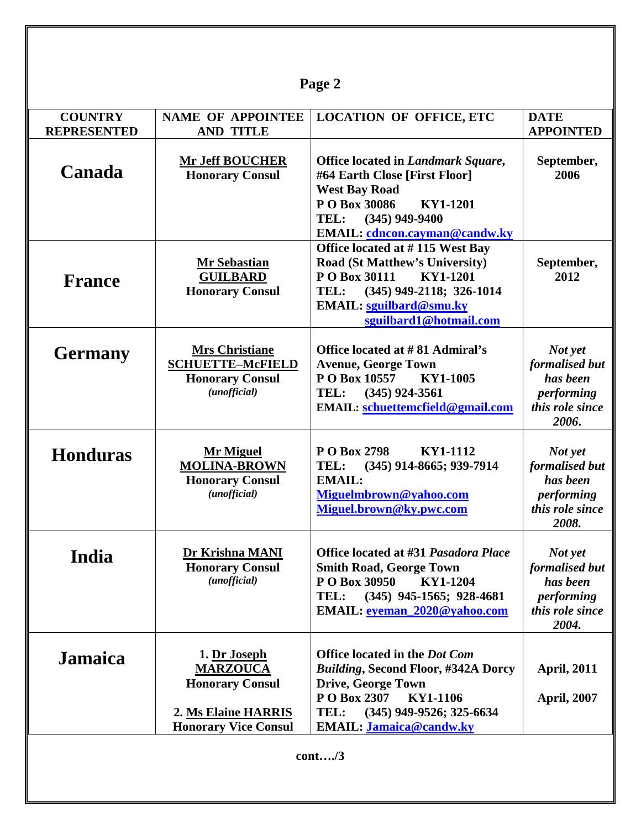| Page 2                               |                                                                                                                 |                                                                                                                                                                                                                     |                                                                                 |  |  |
|--------------------------------------|-----------------------------------------------------------------------------------------------------------------|---------------------------------------------------------------------------------------------------------------------------------------------------------------------------------------------------------------------|---------------------------------------------------------------------------------|--|--|
| <b>COUNTRY</b><br><b>REPRESENTED</b> | <b>NAME OF APPOINTEE</b><br><b>AND TITLE</b>                                                                    | <b>LOCATION OF OFFICE, ETC</b>                                                                                                                                                                                      | <b>DATE</b><br><b>APPOINTED</b>                                                 |  |  |
| <b>Canada</b>                        | <b>Mr Jeff BOUCHER</b><br><b>Honorary Consul</b>                                                                | Office located in Landmark Square,<br>#64 Earth Close [First Floor]<br><b>West Bay Road</b><br>P O Box 30086<br>KY1-1201<br>TEL: (345) 949-9400<br><b>EMAIL:</b> cdncon.cayman@candw.ky                             | September,<br>2006                                                              |  |  |
| <b>France</b>                        | <b>Mr Sebastian</b><br><b>GUILBARD</b><br><b>Honorary Consul</b>                                                | Office located at #115 West Bay<br><b>Road (St Matthew's University)</b><br>P O Box 30111<br>KY1-1201<br>$(345)$ 949-2118; 326-1014<br>TEL:<br><b>EMAIL:</b> sguilbard@smu.ky<br>sguilbard1@hotmail.com             | September,<br>2012                                                              |  |  |
| <b>Germany</b>                       | <b>Mrs Christiane</b><br><b>SCHUETTE-McFIELD</b><br><b>Honorary Consul</b><br>(unofficial)                      | Office located at #81 Admiral's<br><b>Avenue, George Town</b><br>P O Box 10557<br>KY1-1005<br>TEL:<br>$(345)$ 924-3561<br>EMAIL: schuettemcfield@gmail.com                                                          | Not yet<br>formalised but<br>has been<br>performing<br>this role since<br>2006. |  |  |
| <b>Honduras</b>                      | <b>Mr Miguel</b><br><b>MOLINA-BROWN</b><br><b>Honorary Consul</b><br>(unofficial)                               | P O Box 2798<br>KY1-1112<br>TEL:<br>(345) 914-8665; 939-7914<br><b>EMAIL:</b><br>Miguelmbrown@yahoo.com<br>Miguel.brown@ky.pwc.com                                                                                  | Not yet<br>formalised but<br>has been<br>performing<br>this role since<br>2008. |  |  |
| India                                | Dr Krishna MANI<br><b>Honorary Consul</b><br>(unofficial)                                                       | Office located at #31 Pasadora Place<br><b>Smith Road, George Town</b><br>P O Box 30950<br>KY1-1204<br>TEL:<br>$(345)$ 945-1565; 928-4681<br>EMAIL: eyeman_2020@yahoo.com                                           | Not yet<br>formalised but<br>has been<br>performing<br>this role since<br>2004. |  |  |
| <b>Jamaica</b>                       | 1. Dr Joseph<br><b>MARZOUCA</b><br><b>Honorary Consul</b><br>2. Ms Elaine HARRIS<br><b>Honorary Vice Consul</b> | <b>Office located in the Dot Com</b><br><b>Building, Second Floor, #342A Dorcy</b><br><b>Drive, George Town</b><br>P O Box 2307<br>KY1-1106<br>TEL:<br>$(345)$ 949-9526; 325-6634<br><b>EMAIL: Jamaica@candw.ky</b> | <b>April, 2011</b><br><b>April, 2007</b>                                        |  |  |
|                                      |                                                                                                                 | cont/3                                                                                                                                                                                                              |                                                                                 |  |  |